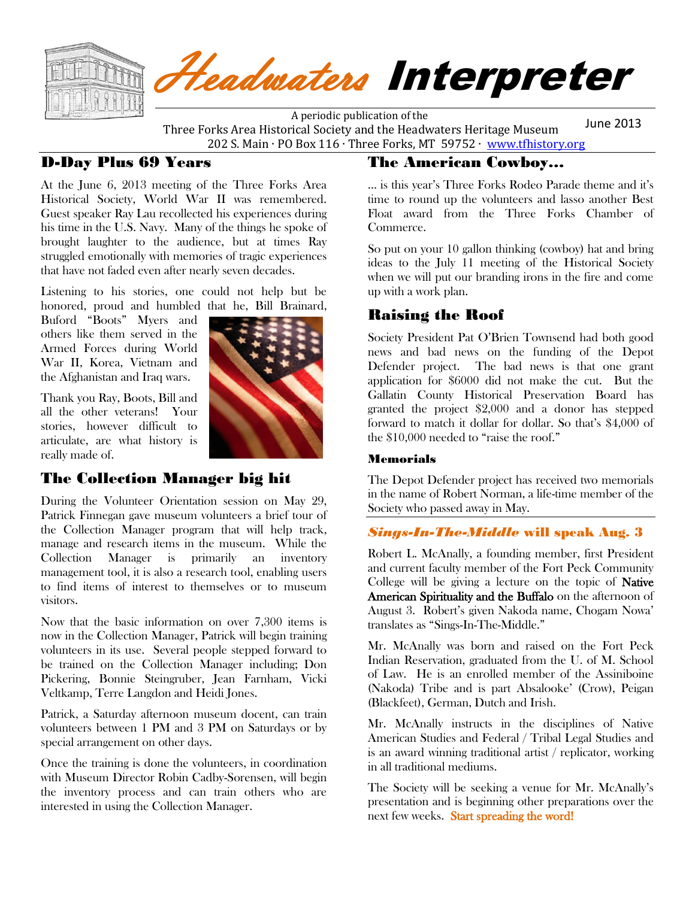

# Headwaters Interpreter

 A periodic publication of the Three Forks Area Historical Society and the Headwaters Heritage Museum 202 S. Main ∙ PO Box 116 ∙ Three Forks, MT 59752 ∙ [www.tfhistory.org](http://www.tfhistory.org/) June 2013

#### D-Day Plus 69 Years

At the June 6, 2013 meeting of the Three Forks Area Historical Society, World War II was remembered. Guest speaker Ray Lau recollected his experiences during his time in the U.S. Navy. Many of the things he spoke of brought laughter to the audience, but at times Ray struggled emotionally with memories of tragic experiences that have not faded even after nearly seven decades.

Listening to his stories, one could not help but be honored, proud and humbled that he, Bill Brainard,

Buford "Boots" Myers and others like them served in the Armed Forces during World War II, Korea, Vietnam and the Afghanistan and Iraq wars.

Thank you Ray, Boots, Bill and all the other veterans! Your stories, however difficult to articulate, are what history is really made of.



#### The Collection Manager big hit

During the Volunteer Orientation session on May 29, Patrick Finnegan gave museum volunteers a brief tour of the Collection Manager program that will help track, manage and research items in the museum. While the Collection Manager is primarily an inventory management tool, it is also a research tool, enabling users to find items of interest to themselves or to museum visitors.

Now that the basic information on over 7,300 items is now in the Collection Manager, Patrick will begin training volunteers in its use. Several people stepped forward to be trained on the Collection Manager including; Don Pickering, Bonnie Steingruber, Jean Farnham, Vicki Veltkamp, Terre Langdon and Heidi Jones.

Patrick, a Saturday afternoon museum docent, can train volunteers between 1 PM and 3 PM on Saturdays or by special arrangement on other days.

Once the training is done the volunteers, in coordination with Museum Director Robin Cadby-Sorensen, will begin the inventory process and can train others who are interested in using the Collection Manager.

#### The American Cowboy…

… is this year's Three Forks Rodeo Parade theme and it's time to round up the volunteers and lasso another Best Float award from the Three Forks Chamber of Commerce.

So put on your 10 gallon thinking (cowboy) hat and bring ideas to the July 11 meeting of the Historical Society when we will put our branding irons in the fire and come up with a work plan.

#### Raising the Roof

Society President Pat O'Brien Townsend had both good news and bad news on the funding of the Depot Defender project. The bad news is that one grant application for \$6000 did not make the cut. But the Gallatin County Historical Preservation Board has granted the project \$2,000 and a donor has stepped forward to match it dollar for dollar. So that's \$4,000 of the \$10,000 needed to "raise the roof."

#### Memorials

The Depot Defender project has received two memorials in the name of Robert Norman, a life-time member of the Society who passed away in May.

#### *Sings-In-The-Middle* will speak Aug. 3

Robert L. McAnally, a founding member, first President and current faculty member of the Fort Peck Community College will be giving a lecture on the topic of Native American Spirituality and the Buffalo on the afternoon of August 3. Robert's given Nakoda name, Chogam Nowa' translates as "Sings-In-The-Middle."

Mr. McAnally was born and raised on the Fort Peck Indian Reservation, graduated from the U. of M. School of Law. He is an enrolled member of the Assiniboine (Nakoda) Tribe and is part Absalooke' (Crow), Peigan (Blackfeet), German, Dutch and Irish.

Mr. McAnally instructs in the disciplines of Native American Studies and Federal / Tribal Legal Studies and is an award winning traditional artist / replicator, working in all traditional mediums.

The Society will be seeking a venue for Mr. McAnally's presentation and is beginning other preparations over the next few weeks. Start spreading the word!